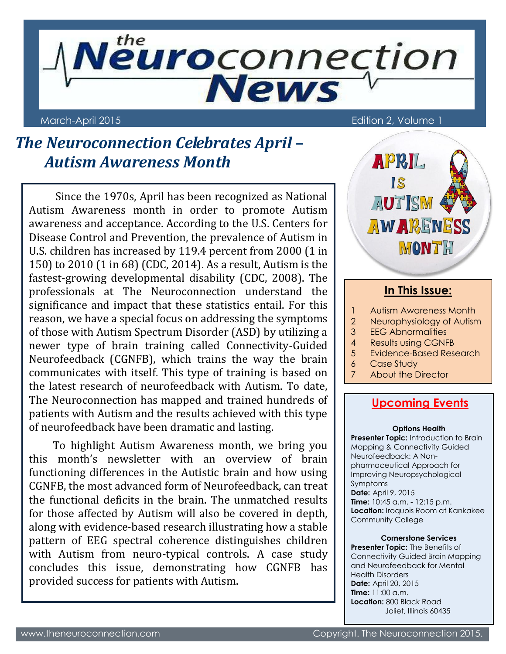

March-April 2015 **Edition 2, Volume 1** 

# *The Neuroconnection Celebrates April – Autism Awareness Month*

Since the 1970s, April has been recognized as National Autism Awareness month in order to promote Autism awareness and acceptance. According to the U.S. Centers for Disease Control and Prevention, the prevalence of Autism in U.S. children has increased by 119.4 percent from 2000 (1 in 150) to 2010 (1 in 68) (CDC, 2014). As a result, Autism is the fastest-growing developmental disability (CDC, 2008). The professionals at The Neuroconnection understand the significance and impact that these statistics entail. For this reason, we have a special focus on addressing the symptoms of those with Autism Spectrum Disorder (ASD) by utilizing a newer type of brain training called Connectivity-Guided Neurofeedback (CGNFB), which trains the way the brain communicates with itself. This type of training is based on the latest research of neurofeedback with Autism. To date, The Neuroconnection has mapped and trained hundreds of patients with Autism and the results achieved with this type of neurofeedback have been dramatic and lasting.

To highlight Autism Awareness month, we bring you this month's newsletter with an overview of brain functioning differences in the Autistic brain and how using CGNFB, the most advanced form of Neurofeedback, can treat the functional deficits in the brain. The unmatched results for those affected by Autism will also be covered in depth, along with evidence-based research illustrating how a stable pattern of EEG spectral coherence distinguishes children with Autism from neuro-typical controls. A case study concludes this issue, demonstrating how CGNFB has provided success for patients with Autism.



### **In This Issue:**

- 1 Autism Awareness Month
- 2 Neurophysiology of Autism
- 3 EEG Abnormalities
- 4 Results using CGNFB
- 5 Evidence-Based Research
	- 6 Case Study
	- 7 About the Director

### **Upcoming Events**

#### **Options Health**

**Presenter Topic:** Introduction to Brain Mapping & Connectivity Guided Neurofeedback: A Nonpharmaceutical Approach for Improving Neuropsychological Symptoms **Date: April 9, 2015 Time:** 10:45 a.m. - 12:15 p.m. **Location:** Iroquois Room at Kankakee Community College

#### **Cornerstone Services**

**Presenter Topic:** The Benefits of Connectivity Guided Brain Mapping and Neurofeedback for Mental Health Disorders **Date:** April 20, 2015 **Time:** 11:00 a.m. **Location:** 800 Black Road Joliet, Illinois 60435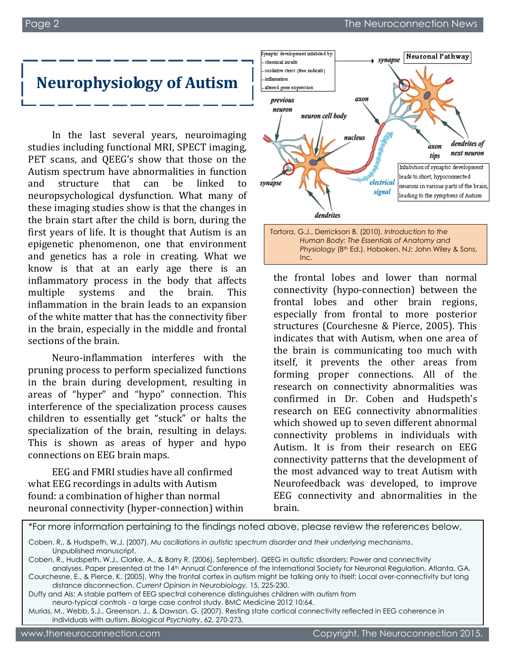# **Neurophysiology of Autism**

In the last several years, neuroimaging studies including functional MRI, SPECT imaging, PET scans, and QEEG's show that those on the Autism spectrum have abnormalities in function and structure that can be linked to neuropsychological dysfunction. What many of these imaging studies show is that the changes in the brain start after the child is born, during the first years of life. It is thought that Autism is an epigenetic phenomenon, one that environment and genetics has a role in creating. What we know is that at an early age there is an inflammatory process in the body that affects multiple systems and the brain. This inflammation in the brain leads to an expansion of the white matter that has the connectivity fiber in the brain, especially in the middle and frontal sections of the brain.

Neuro-inflammation interferes with the pruning process to perform specialized functions in the brain during development, resulting in areas of "hyper" and "hypo" connection. This interference of the specialization process causes children to essentially get "stuck" or halts the specialization of the brain, resulting in delays. This is shown as areas of hyper and hypo connections on EEG brain maps.

EEG and FMRI studies have all confirmed what EEG recordings in adults with Autism found: a combination of higher than normal neuronal connectivity (hyper-connection) within



*Human Body: The Essentials of Anatomy and Physiology* (8th Ed.). Hoboken, NJ: John Wiley & Sons, Inc.

the frontal lobes and lower than normal connectivity (hypo-connection) between the frontal lobes and other brain regions, especially from frontal to more posterior structures (Courchesne & Pierce, 2005). This indicates that with Autism, when one area of the brain is communicating too much with itself, it prevents the other areas from forming proper connections. All of the research on connectivity abnormalities was confirmed in Dr. Coben and Hudspeth's research on EEG connectivity abnormalities which showed up to seven different abnormal connectivity problems in individuals with Autism. It is from their research on EEG connectivity patterns that the development of the most advanced way to treat Autism with Neurofeedback was developed, to improve EEG connectivity and abnormalities in the brain.

```
*For more information pertaining to the findings noted above, please review the references below.
```
Coben, R., & Hudspeth, W.J. (2007). *Mu oscillations in autistic spectrum disorder and their underlying mechanisms*. Unpublished manuscript.

Coben, R., Hudspeth, W.J., Clarke, A., & Barry R. (2006), September). QEEG in autistic disorders: Power and connectivity analyses. Paper presented at the 14th Annual Conference of the International Society for Neuronal Regulation, Atlanta, GA.

Courchesne, E., & Pierce, K. (2005). Why the frontal cortex in autism might be talking only to itself: Local over-connectivity but long distance disconnection. *Current Opinion in Neurobiology,* 15, 225-230.

Duffy and Als: A stable pattern of EEG spectral coherence distinguishes children with autism from neuro-typical controls - a large case control study. BMC Medicine 2012 10:64.

Murias, M., Webb, S.J., Greenson, J., & Dawson, G. (2007). Resting state cortical connectivity reflected in EEG coherence in individuals with autism. *Biological Psychiatry*, 62, 270-273.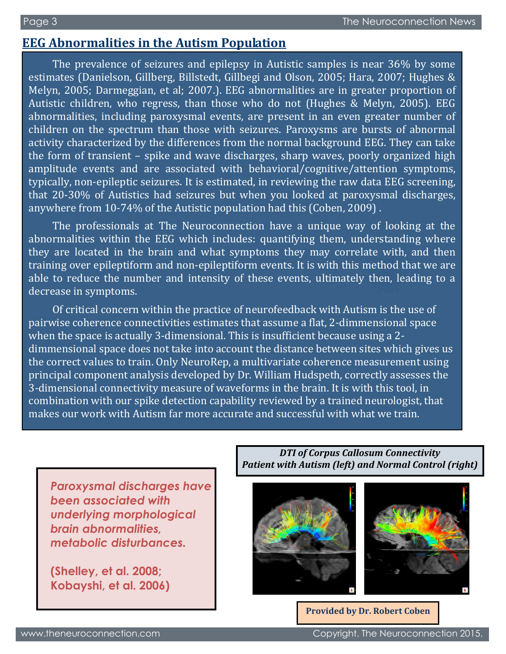# **EEG Abnormalities in the Autism Population**

The prevalence of seizures and epilepsy in Autistic samples is near 36% by some estimates (Danielson, Gillberg, Billstedt, Gillbegi and Olson, 2005; Hara, 2007; Hughes & Melyn, 2005; Darmeggian, et al; 2007.). EEG abnormalities are in greater proportion of Autistic children, who regress, than those who do not (Hughes & Melyn, 2005). EEG abnormalities, including paroxysmal events, are present in an even greater number of children on the spectrum than those with seizures. Paroxysms are bursts of abnormal activity characterized by the differences from the normal background EEG. They can take the form of transient – spike and wave discharges, sharp waves, poorly organized high amplitude events and are associated with behavioral/cognitive/attention symptoms, typically, non-epileptic seizures. It is estimated, in reviewing the raw data EEG screening, that 20-30% of Autistics had seizures but when you looked at paroxysmal discharges, anywhere from 10-74% of the Autistic population had this (Coben, 2009) .

The professionals at The Neuroconnection have a unique way of looking at the abnormalities within the EEG which includes: quantifying them, understanding where they are located in the brain and what symptoms they may correlate with, and then training over epileptiform and non-epileptiform events. It is with this method that we are able to reduce the number and intensity of these events, ultimately then, leading to a decrease in symptoms.

Of critical concern within the practice of neurofeedback with Autism is the use of pairwise coherence connectivities estimates that assume a flat, 2-dimmensional space when the space is actually 3-dimensional. This is insufficient because using a 2 dimmensional space does not take into account the distance between sites which gives us the correct values to train. Only NeuroRep, a multivariate coherence measurement using principal component analysis developed by Dr. William Hudspeth, correctly assesses the 3-dimensional connectivity measure of waveforms in the brain. It is with this tool, in combination with our spike detection capability reviewed by a trained neurologist, that makes our work with Autism far more accurate and successful with what we train.

*Paroxysmal discharges have been associated with underlying morphological brain abnormalities, metabolic disturbances.*

**(Shelley, et al. 2008; Kobayshi, et al. 2006)**

*DTI of Corpus Callosum Connectivity Patient with Autism (left) and Normal Control (right)*





**Provided by Dr. Robert Coben**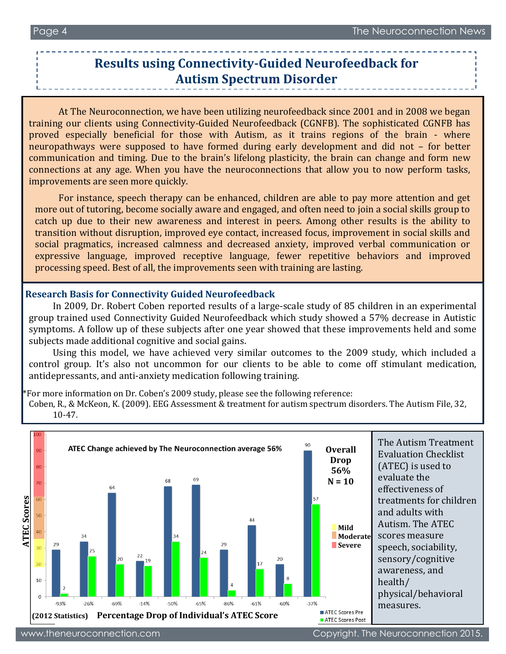## **Results using Connectivity-Guided Neurofeedback for Autism Spectrum Disorder**

At The Neuroconnection, we have been utilizing neurofeedback since 2001 and in 2008 we began training our clients using Connectivity-Guided Neurofeedback (CGNFB). The sophisticated CGNFB has proved especially beneficial for those with Autism, as it trains regions of the brain - where neuropathways were supposed to have formed during early development and did not – for better communication and timing. Due to the brain's lifelong plasticity, the brain can change and form new connections at any age. When you have the neuroconnections that allow you to now perform tasks, improvements are seen more quickly.

For instance, speech therapy can be enhanced, children are able to pay more attention and get more out of tutoring, become socially aware and engaged, and often need to join a social skills group to catch up due to their new awareness and interest in peers. Among other results is the ability to transition without disruption, improved eye contact, increased focus, improvement in social skills and social pragmatics, increased calmness and decreased anxiety, improved verbal communication or expressive language, improved receptive language, fewer repetitive behaviors and improved processing speed. Best of all, the improvements seen with training are lasting.

#### **Research Basis for Connectivity Guided Neurofeedback**

í

In 2009, Dr. Robert Coben reported results of a large-scale study of 85 children in an experimental group trained used Connectivity Guided Neurofeedback which study showed a 57% decrease in Autistic symptoms. A follow up of these subjects after one year showed that these improvements held and some subjects made additional cognitive and social gains.

Using this model, we have achieved very similar outcomes to the 2009 study, which included a control group. It's also not uncommon for our clients to be able to come off stimulant medication, antidepressants, and anti-anxiety medication following training.

\*For more information on Dr. Coben's 2009 study, please see the following reference:

Coben, R., & McKeon, K. (2009). EEG Assessment & treatment for autism spectrum disorders. The Autism File, 32, 10-47.

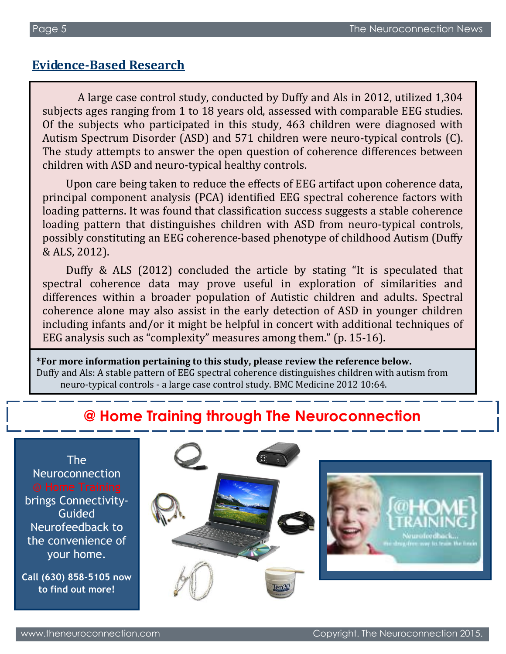## **Evidence-Based Research**

 A large case control study, conducted by Duffy and Als in 2012, utilized 1,304 subjects ages ranging from 1 to 18 years old, assessed with comparable EEG studies. Of the subjects who participated in this study, 463 children were diagnosed with Autism Spectrum Disorder (ASD) and 571 children were neuro-typical controls (C). The study attempts to answer the open question of coherence differences between children with ASD and neuro-typical healthy controls.

Upon care being taken to reduce the effects of EEG artifact upon coherence data, principal component analysis (PCA) identified EEG spectral coherence factors with loading patterns. It was found that classification success suggests a stable coherence loading pattern that distinguishes children with ASD from neuro-typical controls, possibly constituting an EEG coherence-based phenotype of childhood Autism (Duffy & ALS, 2012).

Duffy & ALS (2012) concluded the article by stating "It is speculated that spectral coherence data may prove useful in exploration of similarities and differences within a broader population of Autistic children and adults. Spectral coherence alone may also assist in the early detection of ASD in younger children including infants and/or it might be helpful in concert with additional techniques of EEG analysis such as "complexity" measures among them." (p. 15-16).

**\*For more information pertaining to this study, please review the reference below.** Duffy and Als: A stable pattern of EEG spectral coherence distinguishes children with autism from neuro-typical controls - a large case control study. BMC Medicine 2012 10:64.

# **@ Home Training through The Neuroconnection**

Neuroconnection brings Connectivity-Guided Neurofeedback to the convenience of your home.

The

**Call (630) 858-5105 now to find out more!**

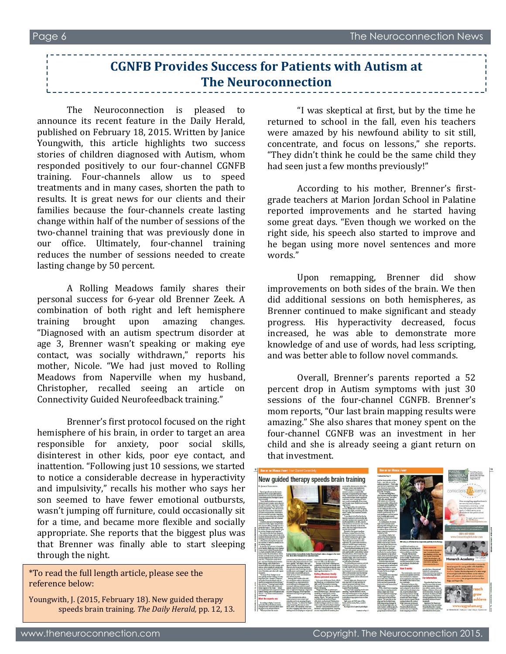The Neuroconnection is pleased to announce its recent feature in the Daily Herald, published on February 18, 2015. Written by Janice Youngwith, this article highlights two success stories of children diagnosed with Autism, whom responded positively to our four-channel CGNFB training. Four-channels allow us to speed treatments and in many cases, shorten the path to results. It is great news for our clients and their families because the four-channels create lasting change within half of the number of sessions of the two-channel training that was previously done in our office. Ultimately, four-channel training reduces the number of sessions needed to create lasting change by 50 percent.

A Rolling Meadows family shares their personal success for 6-year old Brenner Zeek. A combination of both right and left hemisphere training brought upon amazing changes. "Diagnosed with an autism spectrum disorder at age 3, Brenner wasn't speaking or making eye contact, was socially withdrawn," reports his mother, Nicole. "We had just moved to Rolling Meadows from Naperville when my husband, Christopher, recalled seeing an article on Connectivity Guided Neurofeedback training."

Brenner's first protocol focused on the right hemisphere of his brain, in order to target an area responsible for anxiety, poor social skills, disinterest in other kids, poor eye contact, and inattention. "Following just 10 sessions, we started to notice a considerable decrease in hyperactivity and impulsivity," recalls his mother who says her son seemed to have fewer emotional outbursts, wasn't jumping off furniture, could occasionally sit for a time, and became more flexible and socially appropriate. She reports that the biggest plus was that Brenner was finally able to start sleeping through the night.

\*To read the full length article, please see the reference below:

Youngwith, J. (2015, February 18). New guided therapy speeds brain training. *The Daily Herald,* pp. 12, 13.

"I was skeptical at first, but by the time he returned to school in the fall, even his teachers were amazed by his newfound ability to sit still, concentrate, and focus on lessons," she reports. "They didn't think he could be the same child they had seen just a few months previously!"

According to his mother, Brenner's firstgrade teachers at Marion Jordan School in Palatine reported improvements and he started having some great days. "Even though we worked on the right side, his speech also started to improve and he began using more novel sentences and more words."

Upon remapping, Brenner did show improvements on both sides of the brain. We then did additional sessions on both hemispheres, as Brenner continued to make significant and steady progress. His hyperactivity decreased, focus increased, he was able to demonstrate more knowledge of and use of words, had less scripting, and was better able to follow novel commands.

Overall, Brenner's parents reported a 52 percent drop in Autism symptoms with just 30 sessions of the four-channel CGNFB. Brenner's mom reports, "Our last brain mapping results were amazing." She also shares that money spent on the four-channel CGNFB was an investment in her child and she is already seeing a giant return on that investment.